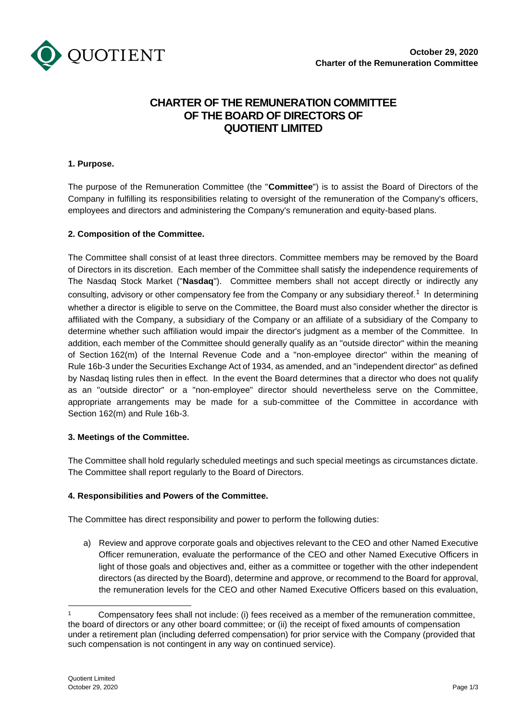

# **CHARTER OF THE REMUNERATION COMMITTEE OF THE BOARD OF DIRECTORS OF QUOTIENT LIMITED**

## **1. Purpose.**

The purpose of the Remuneration Committee (the "**Committee**") is to assist the Board of Directors of the Company in fulfilling its responsibilities relating to oversight of the remuneration of the Company's officers, employees and directors and administering the Company's remuneration and equity-based plans.

#### **2. Composition of the Committee.**

The Committee shall consist of at least three directors. Committee members may be removed by the Board of Directors in its discretion. Each member of the Committee shall satisfy the independence requirements of The Nasdaq Stock Market ("**Nasdaq**"). Committee members shall not accept directly or indirectly any consulting, advisory or other compensatory fee from the Company or any subsidiary thereof.<sup>1</sup> In determining whether a director is eligible to serve on the Committee, the Board must also consider whether the director is affiliated with the Company, a subsidiary of the Company or an affiliate of a subsidiary of the Company to determine whether such affiliation would impair the director's judgment as a member of the Committee. In addition, each member of the Committee should generally qualify as an "outside director" within the meaning of Section 162(m) of the Internal Revenue Code and a "non-employee director" within the meaning of Rule 16b-3 under the Securities Exchange Act of 1934, as amended, and an "independent director" as defined by Nasdaq listing rules then in effect. In the event the Board determines that a director who does not qualify as an "outside director" or a "non-employee" director should nevertheless serve on the Committee, appropriate arrangements may be made for a sub-committee of the Committee in accordance with Section 162(m) and Rule 16b-3.

## **3. Meetings of the Committee.**

The Committee shall hold regularly scheduled meetings and such special meetings as circumstances dictate. The Committee shall report regularly to the Board of Directors.

## **4. Responsibilities and Powers of the Committee.**

The Committee has direct responsibility and power to perform the following duties:

a) Review and approve corporate goals and objectives relevant to the CEO and other Named Executive Officer remuneration, evaluate the performance of the CEO and other Named Executive Officers in light of those goals and objectives and, either as a committee or together with the other independent directors (as directed by the Board), determine and approve, or recommend to the Board for approval, the remuneration levels for the CEO and other Named Executive Officers based on this evaluation,

Compensatory fees shall not include: (i) fees received as a member of the remuneration committee, the board of directors or any other board committee; or (ii) the receipt of fixed amounts of compensation under a retirement plan (including deferred compensation) for prior service with the Company (provided that such compensation is not contingent in any way on continued service).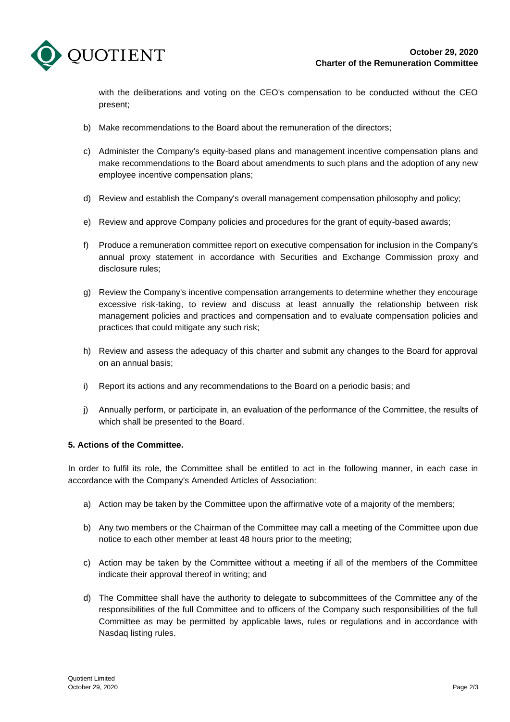

with the deliberations and voting on the CEO's compensation to be conducted without the CEO present;

- b) Make recommendations to the Board about the remuneration of the directors;
- c) Administer the Company's equity-based plans and management incentive compensation plans and make recommendations to the Board about amendments to such plans and the adoption of any new employee incentive compensation plans;
- d) Review and establish the Company's overall management compensation philosophy and policy;
- e) Review and approve Company policies and procedures for the grant of equity-based awards;
- f) Produce a remuneration committee report on executive compensation for inclusion in the Company's annual proxy statement in accordance with Securities and Exchange Commission proxy and disclosure rules;
- g) Review the Company's incentive compensation arrangements to determine whether they encourage excessive risk-taking, to review and discuss at least annually the relationship between risk management policies and practices and compensation and to evaluate compensation policies and practices that could mitigate any such risk;
- h) Review and assess the adequacy of this charter and submit any changes to the Board for approval on an annual basis;
- i) Report its actions and any recommendations to the Board on a periodic basis; and
- j) Annually perform, or participate in, an evaluation of the performance of the Committee, the results of which shall be presented to the Board.

#### **5. Actions of the Committee.**

In order to fulfil its role, the Committee shall be entitled to act in the following manner, in each case in accordance with the Company's Amended Articles of Association:

- a) Action may be taken by the Committee upon the affirmative vote of a majority of the members;
- b) Any two members or the Chairman of the Committee may call a meeting of the Committee upon due notice to each other member at least 48 hours prior to the meeting;
- c) Action may be taken by the Committee without a meeting if all of the members of the Committee indicate their approval thereof in writing; and
- d) The Committee shall have the authority to delegate to subcommittees of the Committee any of the responsibilities of the full Committee and to officers of the Company such responsibilities of the full Committee as may be permitted by applicable laws, rules or regulations and in accordance with Nasdaq listing rules.